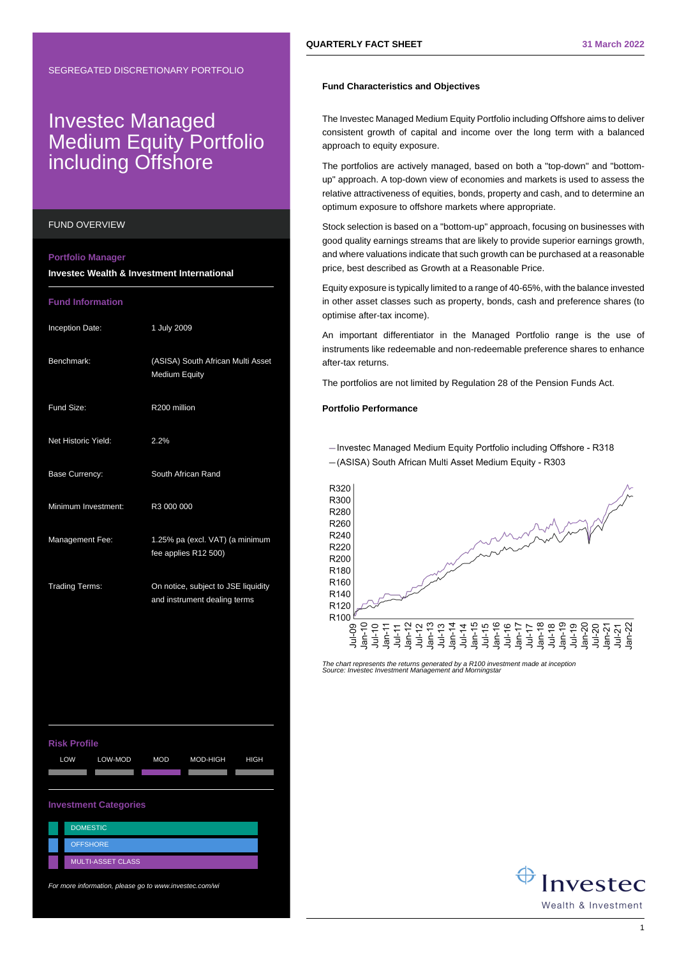# Investec Managed Medium Equity Portfolio including Offshore

#### FUND OVERVIEW

#### **Portfolio Manager**

**Investec Wealth & Investment International**

### **Fund Information**

| Inception Date:       | 1 July 2009                                                         |
|-----------------------|---------------------------------------------------------------------|
| Benchmark:            | (ASISA) South African Multi Asset<br><b>Medium Equity</b>           |
| Fund Size:            | R200 million                                                        |
| Net Historic Yield:   | 2.2%                                                                |
| <b>Base Currency:</b> | South African Rand                                                  |
| Minimum Investment:   | R3 000 000                                                          |
| Management Fee:       | 1.25% pa (excl. VAT) (a minimum<br>fee applies R12 500)             |
| <b>Trading Terms:</b> | On notice, subject to JSE liquidity<br>and instrument dealing terms |

## **Risk Profile** LOW LOW-MOD MOD MOD-HIGH HIGH A A A A A **Investment Categories DOMESTIC OFFSHORE**

For more information, please go to www.investec.com/wi

MULTI-ASSET CLASS

### **Fund Characteristics and Objectives**

The Investec Managed Medium Equity Portfolio including Offshore aims to deliver consistent growth of capital and income over the long term with a balanced approach to equity exposure.

The portfolios are actively managed, based on both a "top-down" and "bottomup" approach. A top-down view of economies and markets is used to assess the relative attractiveness of equities, bonds, property and cash, and to determine an optimum exposure to offshore markets where appropriate.

Stock selection is based on a "bottom-up" approach, focusing on businesses with good quality earnings streams that are likely to provide superior earnings growth, and where valuations indicate that such growth can be purchased at a reasonable price, best described as Growth at a Reasonable Price.

Equity exposure is typically limited to a range of 40-65%, with the balance invested in other asset classes such as property, bonds, cash and preference shares (to optimise after-tax income).

An important differentiator in the Managed Portfolio range is the use of instruments like redeemable and non-redeemable preference shares to enhance after-tax returns.

The portfolios are not limited by Regulation 28 of the Pension Funds Act.

## **Portfolio Performance**

- Investec Managed Medium Equity Portfolio including Offshore - R318 -(ASISA) South African Multi Asset Medium Equity - R303



The chart represents the returns generated by a R100 investment made at inception Source: Investec Investment Management and Morningstar

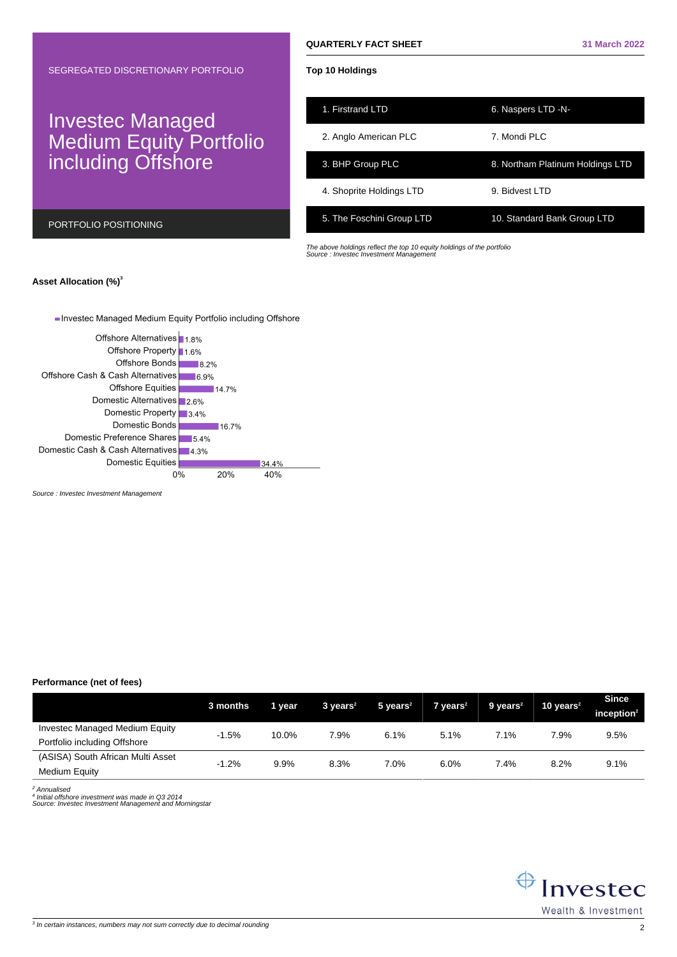# Investec Managed Medium Equity Portfolio including Offshore

PORTFOLIO POSITIONING

## **Top 10 Holdings**

| 1. Firstrand LTD          | 6. Naspers LTD -N-               |
|---------------------------|----------------------------------|
| 2. Anglo American PLC     | 7. Mondi PI C                    |
| 3. BHP Group PLC          | 8. Northam Platinum Holdings LTD |
| 4. Shoprite Holdings LTD  | 9. Bidvest I TD                  |
| 5. The Foschini Group LTD | 10. Standard Bank Group LTD      |

The above holdings reflect the top 10 equity holdings of the portfolio Source : Investec Investment Management

## **Asset Allocation (%)<sup>3</sup>**

## - Investec Managed Medium Equity Portfolio including Offshore



Source : Investec Investment Management

## **Performance (net of fees)**

|                                                                       | 3 months | 1 year | $3 \text{ years}^2$ | $5$ years <sup>2</sup> | $7$ years <sup>2</sup> | $9$ years <sup>2</sup> | 10 years $2$ | <b>Since</b><br>inception $2$ |
|-----------------------------------------------------------------------|----------|--------|---------------------|------------------------|------------------------|------------------------|--------------|-------------------------------|
| <b>Investec Managed Medium Equity</b><br>Portfolio including Offshore | $-1.5%$  | 10.0%  | 7.9%                | 6.1%                   | 5.1%                   | 7.1%                   | 7.9%         | 9.5%                          |
| (ASISA) South African Multi Asset<br>Medium Equity                    | $-1.2%$  | 9.9%   | 8.3%                | 7.0%                   | 6.0%                   | 7.4%                   | 8.2%         | 9.1%                          |

<sup>2</sup> Annualised

4 Initial offshore investment was made in Q3 2014 Source: Investec Investment Management and Morningstar